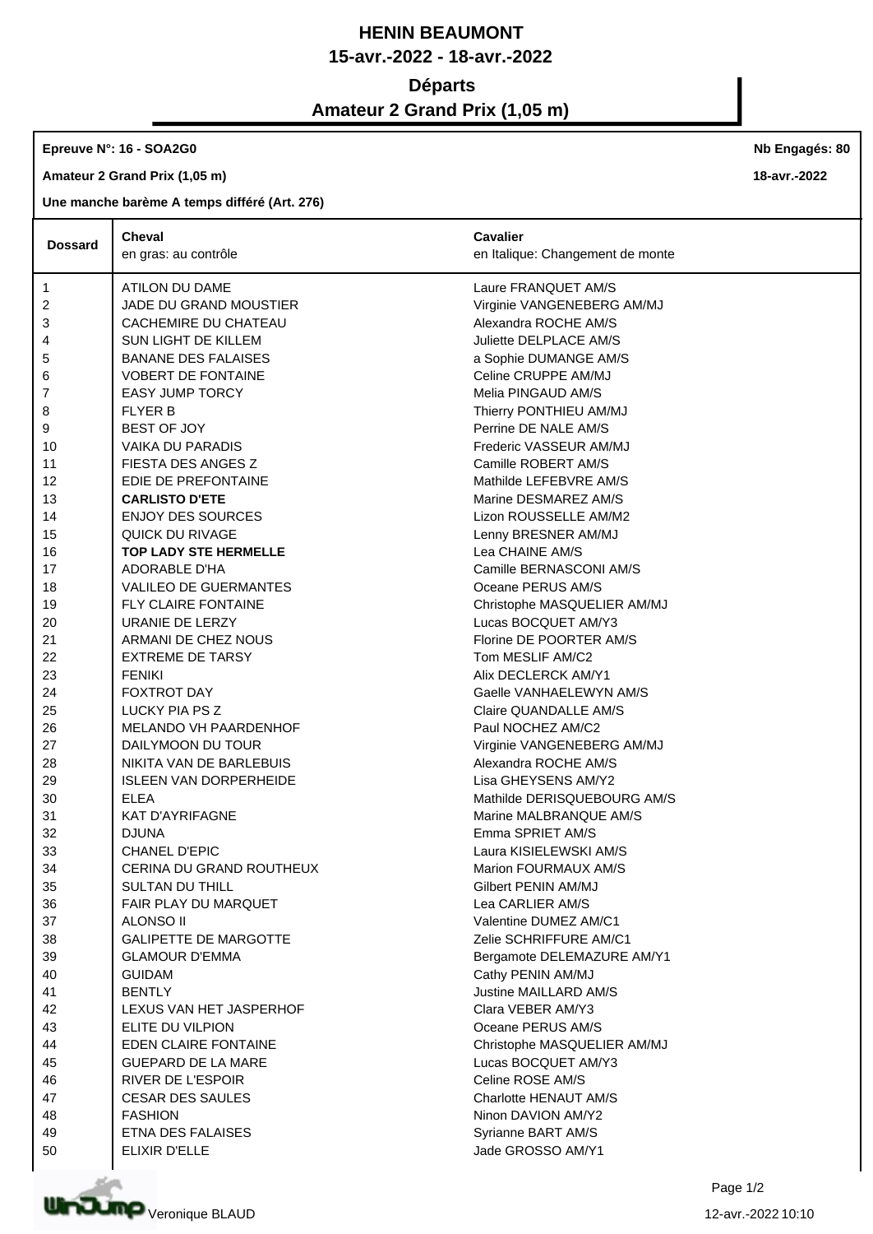## **HENIN BEAUMONT 15-avr.-2022 - 18-avr.-2022**

### **Départs**

# **Amateur 2 Grand Prix (1,05 m)**

#### **Epreuve N°: 16 - SOA2G0**

**Amateur 2 Grand Prix (1,05 m)**

### **Une manche barème A temps différé (Art. 276)**

|                | <b>Cheval</b>                 | <b>Cavalier</b>                  |
|----------------|-------------------------------|----------------------------------|
| <b>Dossard</b> | en gras: au contrôle          | en Italique: Changement de monte |
| 1              | ATILON DU DAME                | Laure FRANQUET AM/S              |
| 2              | JADE DU GRAND MOUSTIER        | Virginie VANGENEBERG AM/MJ       |
| 3              | CACHEMIRE DU CHATEAU          | Alexandra ROCHE AM/S             |
| 4              | <b>SUN LIGHT DE KILLEM</b>    | Juliette DELPLACE AM/S           |
| 5              | <b>BANANE DES FALAISES</b>    | a Sophie DUMANGE AM/S            |
| 6              | <b>VOBERT DE FONTAINE</b>     | Celine CRUPPE AM/MJ              |
| 7              | <b>EASY JUMP TORCY</b>        | Melia PINGAUD AM/S               |
| 8              | <b>FLYER B</b>                | Thierry PONTHIEU AM/MJ           |
| 9              | BEST OF JOY                   | Perrine DE NALE AM/S             |
| 10             | <b>VAIKA DU PARADIS</b>       | Frederic VASSEUR AM/MJ           |
| 11             | FIESTA DES ANGES Z            | Camille ROBERT AM/S              |
| 12             | EDIE DE PREFONTAINE           | Mathilde LEFEBVRE AM/S           |
| 13             | <b>CARLISTO D'ETE</b>         | Marine DESMAREZ AM/S             |
| 14             | <b>ENJOY DES SOURCES</b>      | Lizon ROUSSELLE AM/M2            |
| 15             | QUICK DU RIVAGE               | Lenny BRESNER AM/MJ              |
| 16             | <b>TOP LADY STE HERMELLE</b>  | Lea CHAINE AM/S                  |
| 17             | ADORABLE D'HA                 | Camille BERNASCONI AM/S          |
| 18             | <b>VALILEO DE GUERMANTES</b>  | Oceane PERUS AM/S                |
| 19             | <b>FLY CLAIRE FONTAINE</b>    | Christophe MASQUELIER AM/MJ      |
| 20             | URANIE DE LERZY               | Lucas BOCQUET AM/Y3              |
| 21             | ARMANI DE CHEZ NOUS           | Florine DE POORTER AM/S          |
| 22             | <b>EXTREME DE TARSY</b>       | Tom MESLIF AM/C2                 |
| 23             | <b>FENIKI</b>                 | Alix DECLERCK AM/Y1              |
| 24             | <b>FOXTROT DAY</b>            | Gaelle VANHAELEWYN AM/S          |
| 25             | LUCKY PIA PS Z                | Claire QUANDALLE AM/S            |
| 26             | MELANDO VH PAARDENHOF         | Paul NOCHEZ AM/C2                |
| 27             | DAILYMOON DU TOUR             | Virginie VANGENEBERG AM/MJ       |
| 28             | NIKITA VAN DE BARLEBUIS       | Alexandra ROCHE AM/S             |
| 29             | <b>ISLEEN VAN DORPERHEIDE</b> | Lisa GHEYSENS AM/Y2              |
| 30             | <b>ELEA</b>                   | Mathilde DERISQUEBOURG AM/S      |
| 31             | <b>KAT D'AYRIFAGNE</b>        | Marine MALBRANQUE AM/S           |
| 32             | <b>DJUNA</b>                  | Emma SPRIET AM/S                 |
| 33             | <b>CHANEL D'EPIC</b>          | Laura KISIELEWSKI AM/S           |
| 34             | CERINA DU GRAND ROUTHEUX      | Marion FOURMAUX AM/S             |
| 35             | <b>SULTAN DU THILL</b>        | Gilbert PENIN AM/MJ              |
| 36             | FAIR PLAY DU MARQUET          | Lea CARLIER AM/S                 |
| 37             | ALONSO II                     | Valentine DUMEZ AM/C1            |
| 38             | <b>GALIPETTE DE MARGOTTE</b>  | Zelie SCHRIFFURE AM/C1           |
| 39             | <b>GLAMOUR D'EMMA</b>         | Bergamote DELEMAZURE AM/Y1       |
| 40             | <b>GUIDAM</b>                 | Cathy PENIN AM/MJ                |
| 41             | <b>BENTLY</b>                 | Justine MAILLARD AM/S            |
| 42             | LEXUS VAN HET JASPERHOF       | Clara VEBER AM/Y3                |
| 43             | ELITE DU VILPION              | Oceane PERUS AM/S                |
| 44             | EDEN CLAIRE FONTAINE          | Christophe MASQUELIER AM/MJ      |
| 45             | <b>GUEPARD DE LA MARE</b>     | Lucas BOCQUET AM/Y3              |
| 46             | <b>RIVER DE L'ESPOIR</b>      | Celine ROSE AM/S                 |
| 47             | <b>CESAR DES SAULES</b>       | Charlotte HENAUT AM/S            |
| 48             | <b>FASHION</b>                | Ninon DAVION AM/Y2               |
| 49             | ETNA DES FALAISES             | Syrianne BART AM/S               |
| 50             | ELIXIR D'ELLE                 | Jade GROSSO AM/Y1                |
|                |                               |                                  |



**Nb Engagés: 80**

**18-avr.-2022**